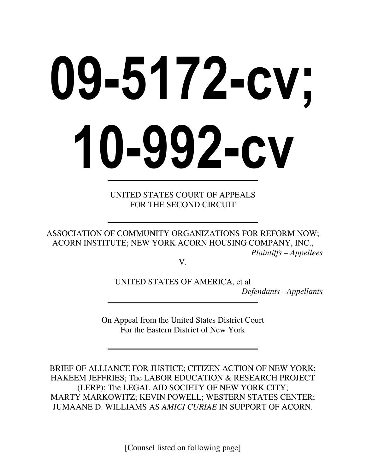# 09-5172-cv; 10-992-cv

UNITED STATES COURT OF APPEALS FOR THE SECOND CIRCUIT

ASSOCIATION OF COMMUNITY ORGANIZATIONS FOR REFORM NOW; ACORN INSTITUTE; NEW YORK ACORN HOUSING COMPANY, INC., *Plaintiffs – Appellees* 

V.

UNITED STATES OF AMERICA, et al *Defendants - Appellants* 

On Appeal from the United States District Court For the Eastern District of New York

BRIEF OF ALLIANCE FOR JUSTICE; CITIZEN ACTION OF NEW YORK; HAKEEM JEFFRIES; The LABOR EDUCATION & RESEARCH PROJECT (LERP); The LEGAL AID SOCIETY OF NEW YORK CITY; MARTY MARKOWITZ; KEVIN POWELL; WESTERN STATES CENTER; JUMAANE D. WILLIAMS AS *AMICI CURIAE* IN SUPPORT OF ACORN.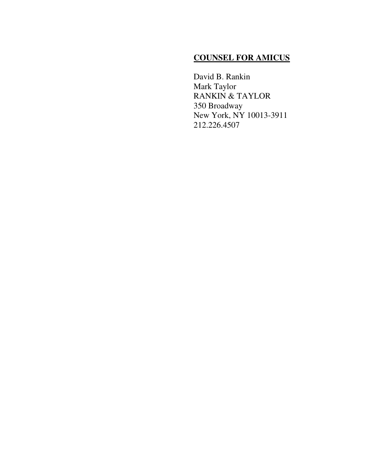# **COUNSEL FOR AMICUS**

David B. Rankin Mark Taylor RANKIN & TAYLOR 350 Broadway New York, NY 10013-3911 212.226.4507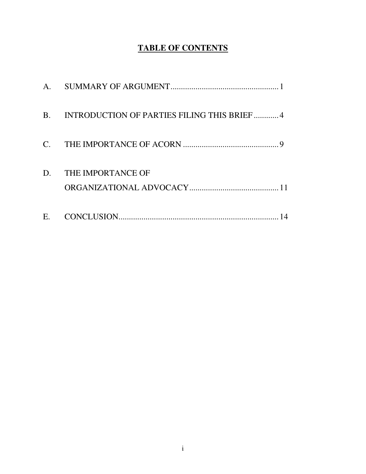# **TABLE OF CONTENTS**

| A.        |                                             |
|-----------|---------------------------------------------|
| <b>B.</b> | INTRODUCTION OF PARTIES FILING THIS BRIEF 4 |
|           |                                             |
| D.        | THE IMPORTANCE OF                           |
| E.        |                                             |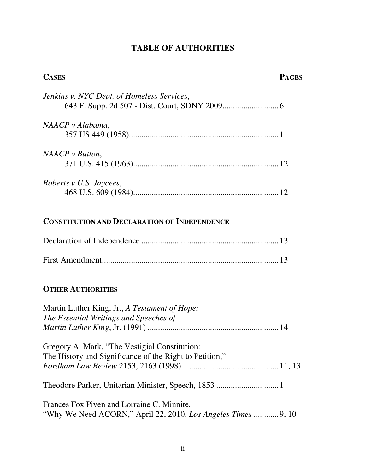# **TABLE OF AUTHORITIES**

| <b>CASES</b>                               | <b>PAGES</b> |
|--------------------------------------------|--------------|
| Jenkins v. NYC Dept. of Homeless Services, |              |
| NAACP v Alabama,                           |              |
| $NAACP$ v Button,                          |              |
| Roberts v U.S. Jaycees,                    |              |
|                                            |              |

# **CONSTITUTION AND DECLARATION OF INDEPENDENCE**

## **OTHER AUTHORITIES**

| Martin Luther King, Jr., A Testament of Hope:<br>The Essential Writings and Speeches of                  |  |
|----------------------------------------------------------------------------------------------------------|--|
| Gregory A. Mark, "The Vestigial Constitution:<br>The History and Significance of the Right to Petition," |  |
|                                                                                                          |  |
| Frances Fox Piven and Lorraine C. Minnite,                                                               |  |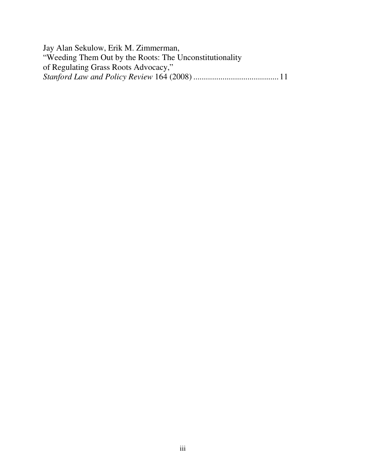Jay Alan Sekulow, Erik M. Zimmerman, "Weeding Them Out by the Roots: The Unconstitutionality of Regulating Grass Roots Advocacy," *Stanford Law and Policy Review* 164 (2008) .........................................11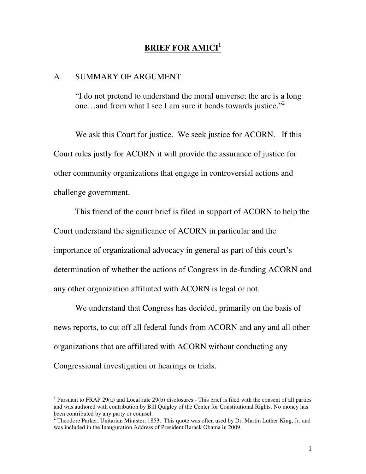### **BRIEF FOR AMICI<sup>1</sup>**

### A. SUMMARY OF ARGUMENT

 $\overline{a}$ 

"I do not pretend to understand the moral universe; the arc is a long one…and from what I see I am sure it bends towards justice."<sup>2</sup>

We ask this Court for justice. We seek justice for ACORN. If this Court rules justly for ACORN it will provide the assurance of justice for other community organizations that engage in controversial actions and challenge government.

 This friend of the court brief is filed in support of ACORN to help the Court understand the significance of ACORN in particular and the importance of organizational advocacy in general as part of this court's determination of whether the actions of Congress in de-funding ACORN and any other organization affiliated with ACORN is legal or not.

 We understand that Congress has decided, primarily on the basis of news reports, to cut off all federal funds from ACORN and any and all other organizations that are affiliated with ACORN without conducting any Congressional investigation or hearings or trials.

<sup>&</sup>lt;sup>1</sup> Pursuant to FRAP 29(a) and Local rule 29(b) disclosures - This brief is filed with the consent of all parties and was authored with contribution by Bill Quigley of the Center for Constitutional Rights. No money has been contributed by any party or counsel.

<sup>&</sup>lt;sup>2</sup> Theodore Parker, Unitarian Minister, 1853. This quote was often used by Dr. Martin Luther King, Jr. and was included in the Inauguration Address of President Barack Obama in 2009.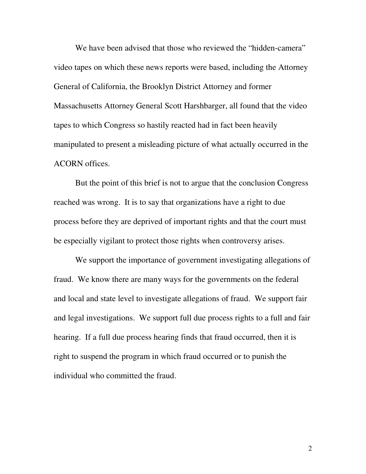We have been advised that those who reviewed the "hidden-camera" video tapes on which these news reports were based, including the Attorney General of California, the Brooklyn District Attorney and former Massachusetts Attorney General Scott Harshbarger, all found that the video tapes to which Congress so hastily reacted had in fact been heavily manipulated to present a misleading picture of what actually occurred in the ACORN offices.

 But the point of this brief is not to argue that the conclusion Congress reached was wrong. It is to say that organizations have a right to due process before they are deprived of important rights and that the court must be especially vigilant to protect those rights when controversy arises.

 We support the importance of government investigating allegations of fraud. We know there are many ways for the governments on the federal and local and state level to investigate allegations of fraud. We support fair and legal investigations. We support full due process rights to a full and fair hearing. If a full due process hearing finds that fraud occurred, then it is right to suspend the program in which fraud occurred or to punish the individual who committed the fraud.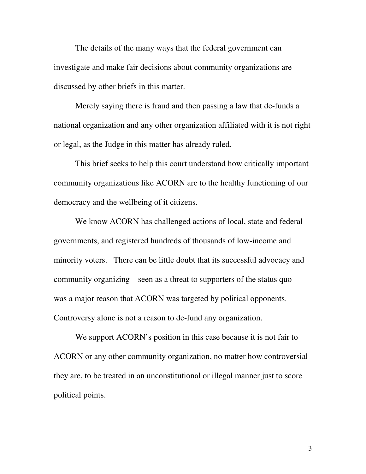The details of the many ways that the federal government can investigate and make fair decisions about community organizations are discussed by other briefs in this matter.

 Merely saying there is fraud and then passing a law that de-funds a national organization and any other organization affiliated with it is not right or legal, as the Judge in this matter has already ruled.

 This brief seeks to help this court understand how critically important community organizations like ACORN are to the healthy functioning of our democracy and the wellbeing of it citizens.

 We know ACORN has challenged actions of local, state and federal governments, and registered hundreds of thousands of low-income and minority voters. There can be little doubt that its successful advocacy and community organizing—seen as a threat to supporters of the status quo- was a major reason that ACORN was targeted by political opponents. Controversy alone is not a reason to de-fund any organization.

We support ACORN's position in this case because it is not fair to ACORN or any other community organization, no matter how controversial they are, to be treated in an unconstitutional or illegal manner just to score political points.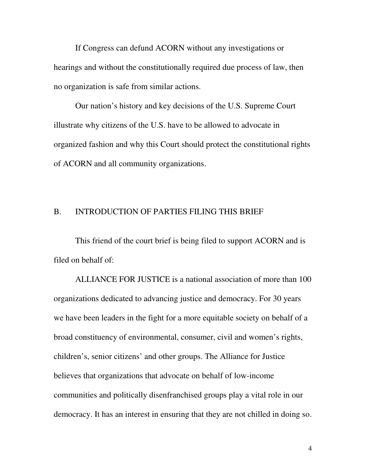If Congress can defund ACORN without any investigations or hearings and without the constitutionally required due process of law, then no organization is safe from similar actions.

Our nation's history and key decisions of the U.S. Supreme Court illustrate why citizens of the U.S. have to be allowed to advocate in organized fashion and why this Court should protect the constitutional rights of ACORN and all community organizations.

### B. INTRODUCTION OF PARTIES FILING THIS BRIEF

This friend of the court brief is being filed to support ACORN and is filed on behalf of:

ALLIANCE FOR JUSTICE is a national association of more than 100 organizations dedicated to advancing justice and democracy. For 30 years we have been leaders in the fight for a more equitable society on behalf of a broad constituency of environmental, consumer, civil and women's rights, children's, senior citizens' and other groups. The Alliance for Justice believes that organizations that advocate on behalf of low-income communities and politically disenfranchised groups play a vital role in our democracy. It has an interest in ensuring that they are not chilled in doing so.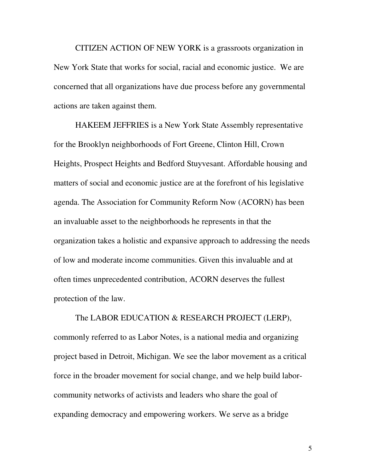CITIZEN ACTION OF NEW YORK is a grassroots organization in New York State that works for social, racial and economic justice. We are concerned that all organizations have due process before any governmental actions are taken against them.

HAKEEM JEFFRIES is a New York State Assembly representative for the Brooklyn neighborhoods of Fort Greene, Clinton Hill, Crown Heights, Prospect Heights and Bedford Stuyvesant. Affordable housing and matters of social and economic justice are at the forefront of his legislative agenda. The Association for Community Reform Now (ACORN) has been an invaluable asset to the neighborhoods he represents in that the organization takes a holistic and expansive approach to addressing the needs of low and moderate income communities. Given this invaluable and at often times unprecedented contribution, ACORN deserves the fullest protection of the law.

The LABOR EDUCATION & RESEARCH PROJECT (LERP), commonly referred to as Labor Notes, is a national media and organizing project based in Detroit, Michigan. We see the labor movement as a critical force in the broader movement for social change, and we help build laborcommunity networks of activists and leaders who share the goal of expanding democracy and empowering workers. We serve as a bridge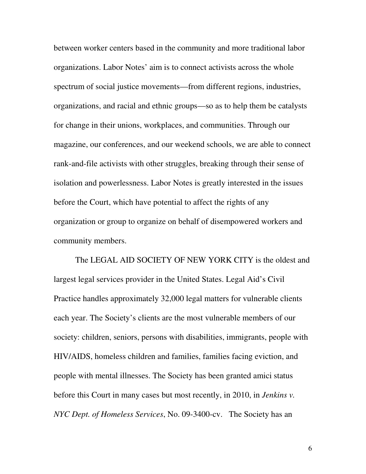between worker centers based in the community and more traditional labor organizations. Labor Notes' aim is to connect activists across the whole spectrum of social justice movements—from different regions, industries, organizations, and racial and ethnic groups—so as to help them be catalysts for change in their unions, workplaces, and communities. Through our magazine, our conferences, and our weekend schools, we are able to connect rank-and-file activists with other struggles, breaking through their sense of isolation and powerlessness. Labor Notes is greatly interested in the issues before the Court, which have potential to affect the rights of any organization or group to organize on behalf of disempowered workers and community members.

The LEGAL AID SOCIETY OF NEW YORK CITY is the oldest and largest legal services provider in the United States. Legal Aid's Civil Practice handles approximately 32,000 legal matters for vulnerable clients each year. The Society's clients are the most vulnerable members of our society: children, seniors, persons with disabilities, immigrants, people with HIV/AIDS, homeless children and families, families facing eviction, and people with mental illnesses. The Society has been granted amici status before this Court in many cases but most recently, in 2010, in *Jenkins v. NYC Dept. of Homeless Services*, No. 09-3400-cv. The Society has an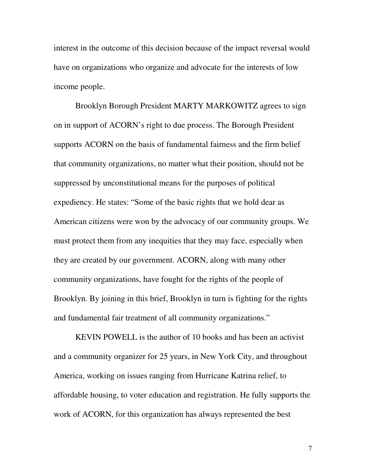interest in the outcome of this decision because of the impact reversal would have on organizations who organize and advocate for the interests of low income people.

Brooklyn Borough President MARTY MARKOWITZ agrees to sign on in support of ACORN's right to due process. The Borough President supports ACORN on the basis of fundamental fairness and the firm belief that community organizations, no matter what their position, should not be suppressed by unconstitutional means for the purposes of political expediency. He states: "Some of the basic rights that we hold dear as American citizens were won by the advocacy of our community groups. We must protect them from any inequities that they may face, especially when they are created by our government. ACORN, along with many other community organizations, have fought for the rights of the people of Brooklyn. By joining in this brief, Brooklyn in turn is fighting for the rights and fundamental fair treatment of all community organizations."

KEVIN POWELL is the author of 10 books and has been an activist and a community organizer for 25 years, in New York City, and throughout America, working on issues ranging from Hurricane Katrina relief, to affordable housing, to voter education and registration. He fully supports the work of ACORN, for this organization has always represented the best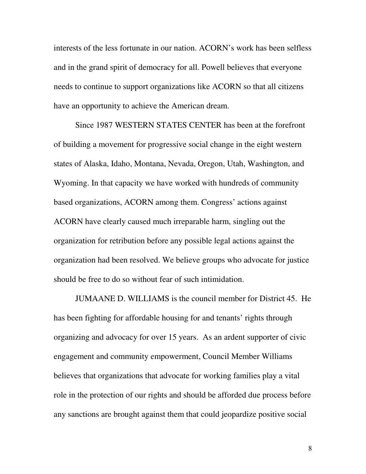interests of the less fortunate in our nation. ACORN's work has been selfless and in the grand spirit of democracy for all. Powell believes that everyone needs to continue to support organizations like ACORN so that all citizens have an opportunity to achieve the American dream.

Since 1987 WESTERN STATES CENTER has been at the forefront of building a movement for progressive social change in the eight western states of Alaska, Idaho, Montana, Nevada, Oregon, Utah, Washington, and Wyoming. In that capacity we have worked with hundreds of community based organizations, ACORN among them. Congress' actions against ACORN have clearly caused much irreparable harm, singling out the organization for retribution before any possible legal actions against the organization had been resolved. We believe groups who advocate for justice should be free to do so without fear of such intimidation.

JUMAANE D. WILLIAMS is the council member for District 45. He has been fighting for affordable housing for and tenants' rights through organizing and advocacy for over 15 years. As an ardent supporter of civic engagement and community empowerment, Council Member Williams believes that organizations that advocate for working families play a vital role in the protection of our rights and should be afforded due process before any sanctions are brought against them that could jeopardize positive social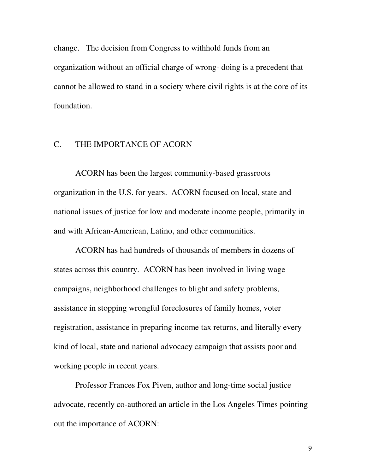change. The decision from Congress to withhold funds from an organization without an official charge of wrong- doing is a precedent that cannot be allowed to stand in a society where civil rights is at the core of its foundation.

### C. THE IMPORTANCE OF ACORN

ACORN has been the largest community-based grassroots organization in the U.S. for years. ACORN focused on local, state and national issues of justice for low and moderate income people, primarily in and with African-American, Latino, and other communities.

ACORN has had hundreds of thousands of members in dozens of states across this country. ACORN has been involved in living wage campaigns, neighborhood challenges to blight and safety problems, assistance in stopping wrongful foreclosures of family homes, voter registration, assistance in preparing income tax returns, and literally every kind of local, state and national advocacy campaign that assists poor and working people in recent years.

Professor Frances Fox Piven, author and long-time social justice advocate, recently co-authored an article in the Los Angeles Times pointing out the importance of ACORN: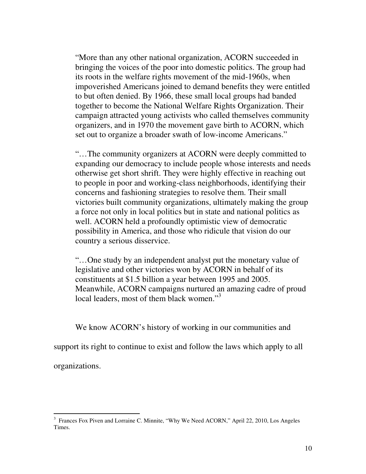"More than any other national organization, ACORN succeeded in bringing the voices of the poor into domestic politics. The group had its roots in the welfare rights movement of the mid-1960s, when impoverished Americans joined to demand benefits they were entitled to but often denied. By 1966, these small local groups had banded together to become the National Welfare Rights Organization. Their campaign attracted young activists who called themselves community organizers, and in 1970 the movement gave birth to ACORN, which set out to organize a broader swath of low-income Americans."

"…The community organizers at ACORN were deeply committed to expanding our democracy to include people whose interests and needs otherwise get short shrift. They were highly effective in reaching out to people in poor and working-class neighborhoods, identifying their concerns and fashioning strategies to resolve them. Their small victories built community organizations, ultimately making the group a force not only in local politics but in state and national politics as well. ACORN held a profoundly optimistic view of democratic possibility in America, and those who ridicule that vision do our country a serious disservice.

"…One study by an independent analyst put the monetary value of legislative and other victories won by ACORN in behalf of its constituents at \$1.5 billion a year between 1995 and 2005. Meanwhile, ACORN campaigns nurtured an amazing cadre of proud local leaders, most of them black women."<sup>3</sup>

We know ACORN's history of working in our communities and

support its right to continue to exist and follow the laws which apply to all

organizations.

<sup>&</sup>lt;sup>3</sup> Frances Fox Piven and Lorraine C. Minnite, "Why We Need ACORN," April 22, 2010, Los Angeles Times.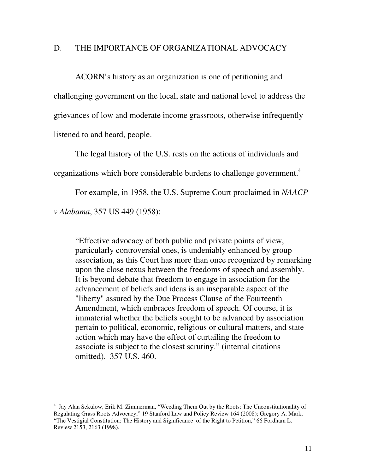### D. THE IMPORTANCE OF ORGANIZATIONAL ADVOCACY

ACORN's history as an organization is one of petitioning and challenging government on the local, state and national level to address the grievances of low and moderate income grassroots, otherwise infrequently listened to and heard, people.

The legal history of the U.S. rests on the actions of individuals and organizations which bore considerable burdens to challenge government.<sup>4</sup>

For example, in 1958, the U.S. Supreme Court proclaimed in *NAACP v Alabama*, 357 US 449 (1958):

"Effective advocacy of both public and private points of view, particularly controversial ones, is undeniably enhanced by group association, as this Court has more than once recognized by remarking upon the close nexus between the freedoms of speech and assembly. It is beyond debate that freedom to engage in association for the advancement of beliefs and ideas is an inseparable aspect of the "liberty" assured by the Due Process Clause of the Fourteenth Amendment, which embraces freedom of speech. Of course, it is immaterial whether the beliefs sought to be advanced by association pertain to political, economic, religious or cultural matters, and state action which may have the effect of curtailing the freedom to associate is subject to the closest scrutiny." (internal citations omitted). 357 U.S. 460.

 4 Jay Alan Sekulow, Erik M. Zimmerman, "Weeding Them Out by the Roots: The Unconstitutionality of Regulating Grass Roots Advocacy," 19 Stanford Law and Policy Review 164 (2008); Gregory A. Mark, "The Vestigial Constitution: The History and Significance of the Right to Petition," 66 Fordham L. Review 2153, 2163 (1998).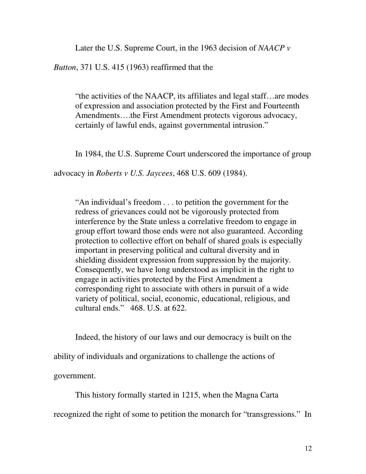Later the U.S. Supreme Court, in the 1963 decision of *NAACP v* 

*Button*, 371 U.S. 415 (1963) reaffirmed that the

"the activities of the NAACP, its affiliates and legal staff…are modes of expression and association protected by the First and Fourteenth Amendments….the First Amendment protects vigorous advocacy, certainly of lawful ends, against governmental intrusion."

In 1984, the U.S. Supreme Court underscored the importance of group

advocacy in *Roberts v U.S. Jaycees*, 468 U.S. 609 (1984).

"An individual's freedom . . . to petition the government for the redress of grievances could not be vigorously protected from interference by the State unless a correlative freedom to engage in group effort toward those ends were not also guaranteed. According protection to collective effort on behalf of shared goals is especially important in preserving political and cultural diversity and in shielding dissident expression from suppression by the majority. Consequently, we have long understood as implicit in the right to engage in activities protected by the First Amendment a corresponding right to associate with others in pursuit of a wide variety of political, social, economic, educational, religious, and cultural ends." 468. U.S. at 622.

Indeed, the history of our laws and our democracy is built on the

ability of individuals and organizations to challenge the actions of

government.

This history formally started in 1215, when the Magna Carta

recognized the right of some to petition the monarch for "transgressions." In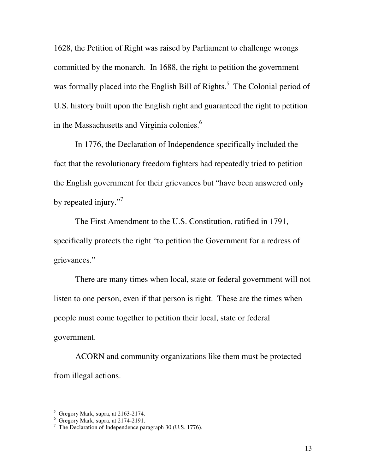1628, the Petition of Right was raised by Parliament to challenge wrongs committed by the monarch. In 1688, the right to petition the government was formally placed into the English Bill of Rights.<sup>5</sup> The Colonial period of U.S. history built upon the English right and guaranteed the right to petition in the Massachusetts and Virginia colonies.<sup>6</sup>

In 1776, the Declaration of Independence specifically included the fact that the revolutionary freedom fighters had repeatedly tried to petition the English government for their grievances but "have been answered only by repeated injury."

The First Amendment to the U.S. Constitution, ratified in 1791, specifically protects the right "to petition the Government for a redress of grievances."

 There are many times when local, state or federal government will not listen to one person, even if that person is right. These are the times when people must come together to petition their local, state or federal government.

 ACORN and community organizations like them must be protected from illegal actions.

 5 Gregory Mark, supra, at 2163-2174.

<sup>6</sup> Gregory Mark, supra, at 2174-2191.

<sup>&</sup>lt;sup>7</sup> The Declaration of Independence paragraph 30 (U.S. 1776).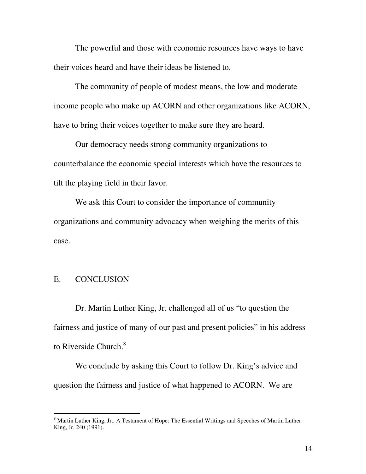The powerful and those with economic resources have ways to have their voices heard and have their ideas be listened to.

 The community of people of modest means, the low and moderate income people who make up ACORN and other organizations like ACORN, have to bring their voices together to make sure they are heard.

 Our democracy needs strong community organizations to counterbalance the economic special interests which have the resources to tilt the playing field in their favor.

 We ask this Court to consider the importance of community organizations and community advocacy when weighing the merits of this case.

### E. CONCLUSION

Dr. Martin Luther King, Jr. challenged all of us "to question the fairness and justice of many of our past and present policies" in his address to Riverside Church.<sup>8</sup>

 We conclude by asking this Court to follow Dr. King's advice and question the fairness and justice of what happened to ACORN. We are

<sup>&</sup>lt;sup>8</sup> Martin Luther King, Jr., A Testament of Hope: The Essential Writings and Speeches of Martin Luther King, Jr. 240 (1991).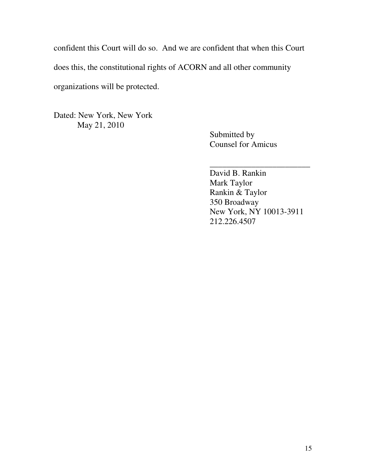confident this Court will do so. And we are confident that when this Court does this, the constitutional rights of ACORN and all other community organizations will be protected.

Dated: New York, New York May 21, 2010

Submitted by Counsel for Amicus

\_\_\_\_\_\_\_\_\_\_\_\_\_\_\_\_\_\_\_\_\_\_\_\_ David B. Rankin Mark Taylor Rankin & Taylor 350 Broadway New York, NY 10013-3911 212.226.4507